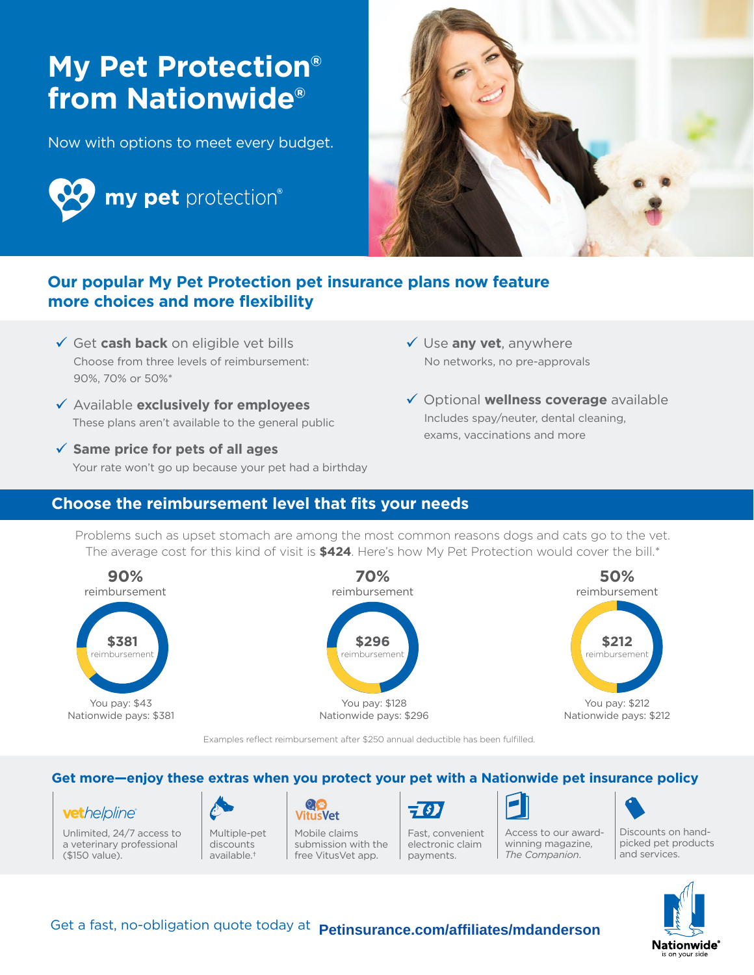# **My Pet Protection® from Nationwide®**

Now with options to meet every budget.





## **Our popular My Pet Protection pet insurance plans now feature more choices and more flexibility**

- Get **cash back** on eligible vet bills Choose from three levels of reimbursement: 90%, 70% or 50%\*
- Available **exclusively for employees** These plans aren't available to the general public
- **Same price for pets of all ages** Your rate won't go up because your pet had a birthday
- Use **any vet**, anywhere No networks, no pre-approvals
- Optional **wellness coverage** available Includes spay/neuter, dental cleaning, exams, vaccinations and more

### **Choose the reimbursement level that fits your needs**

Problems such as upset stomach are among the most common reasons dogs and cats go to the vet. The average cost for this kind of visit is **\$424**. Here's how My Pet Protection would cover the bill.\*



Examples reflect reimbursement after \$250 annual deductible has been fulfilled.

#### **Get more—enjoy these extras when you protect your pet with a Nationwide pet insurance policy**

#### vethelpline®

Unlimited, 24/7 access to a veterinary professional (\$150 value).



discounts available.†

**VitusVet** Mobile claims submission with the free VitusVet app.



Fast, convenient electronic claim payments.



Discounts on handpicked pet products and services. Access to our awardwinning magazine, *The Companion*.



Get a fast, no-obligation quote today at **Petinsurance.com/affiliates/mdanderson**